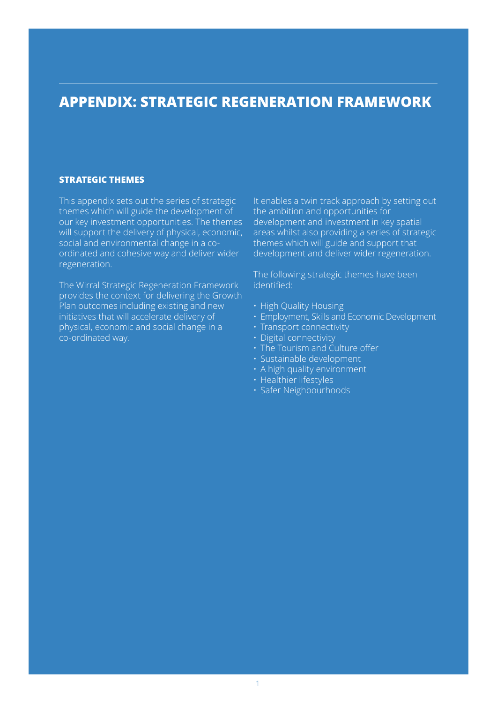# **appendix: Strategic regeneration framework**

#### **STRATEGIC THEMES**

This appendix sets out the series of strategic themes which will guide the development of our key investment opportunities. The themes will support the delivery of physical, economic, social and environmental change in a coordinated and cohesive way and deliver wider regeneration.

The Wirral Strategic Regeneration Framework provides the context for delivering the Growth Plan outcomes including existing and new initiatives that will accelerate delivery of physical, economic and social change in a co-ordinated way.

It enables a twin track approach by setting out the ambition and opportunities for development and investment in key spatial areas whilst also providing a series of strategic themes which will guide and support that development and deliver wider regeneration.

The following strategic themes have been identified:

- High Quality Housing
- Employment, Skills and Economic Development
- Transport connectivity
- Digital connectivity
- The Tourism and Culture offer
- Sustainable development
- A high quality environment
- Healthier lifestyles
- Safer Neighbourhoods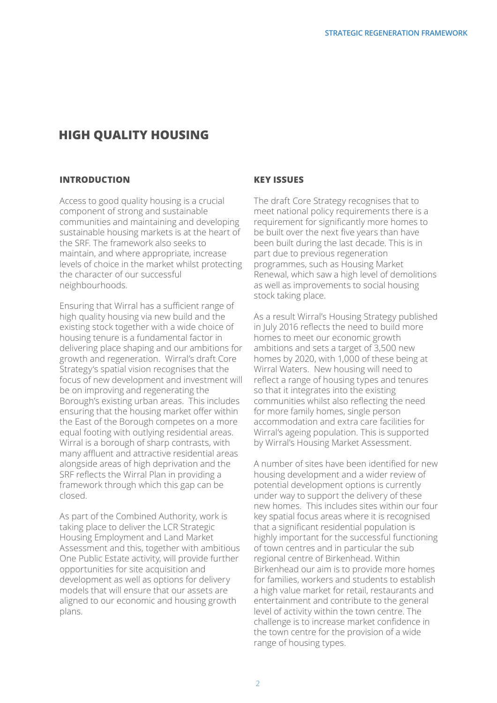# **High Quality Housing**

#### **INTRODUCTION**

Access to good quality housing is a crucial component of strong and sustainable communities and maintaining and developing sustainable housing markets is at the heart of the SRF. The framework also seeks to maintain, and where appropriate, increase levels of choice in the market whilst protecting the character of our successful neighbourhoods.

Ensuring that Wirral has a sufficient range of high quality housing via new build and the existing stock together with a wide choice of housing tenure is a fundamental factor in delivering place shaping and our ambitions for growth and regeneration. Wirral's draft Core Strategy's spatial vision recognises that the focus of new development and investment will be on improving and regenerating the Borough's existing urban areas. This includes ensuring that the housing market offer within the East of the Borough competes on a more equal footing with outlying residential areas. Wirral is a borough of sharp contrasts, with many affluent and attractive residential areas alongside areas of high deprivation and the SRF reflects the Wirral Plan in providing a framework through which this gap can be closed.

As part of the Combined Authority, work is taking place to deliver the LCR Strategic Housing Employment and Land Market Assessment and this, together with ambitious One Public Estate activity, will provide further opportunities for site acquisition and development as well as options for delivery models that will ensure that our assets are aligned to our economic and housing growth plans.

#### **Key Issues**

The draft Core Strategy recognises that to meet national policy requirements there is a requirement for significantly more homes to be built over the next five years than have been built during the last decade. This is in part due to previous regeneration programmes, such as Housing Market Renewal, which saw a high level of demolitions as well as improvements to social housing stock taking place.

As a result Wirral's Housing Strategy published in July 2016 reflects the need to build more homes to meet our economic growth ambitions and sets a target of 3,500 new homes by 2020, with 1,000 of these being at Wirral Waters. New housing will need to reflect a range of housing types and tenures so that it integrates into the existing communities whilst also reflecting the need for more family homes, single person accommodation and extra care facilities for Wirral's ageing population. This is supported by Wirral's Housing Market Assessment.

A number of sites have been identified for new housing development and a wider review of potential development options is currently under way to support the delivery of these new homes. This includes sites within our four key spatial focus areas where it is recognised that a significant residential population is highly important for the successful functioning of town centres and in particular the sub regional centre of Birkenhead. Within Birkenhead our aim is to provide more homes for families, workers and students to establish a high value market for retail, restaurants and entertainment and contribute to the general level of activity within the town centre. The challenge is to increase market confidence in the town centre for the provision of a wide range of housing types.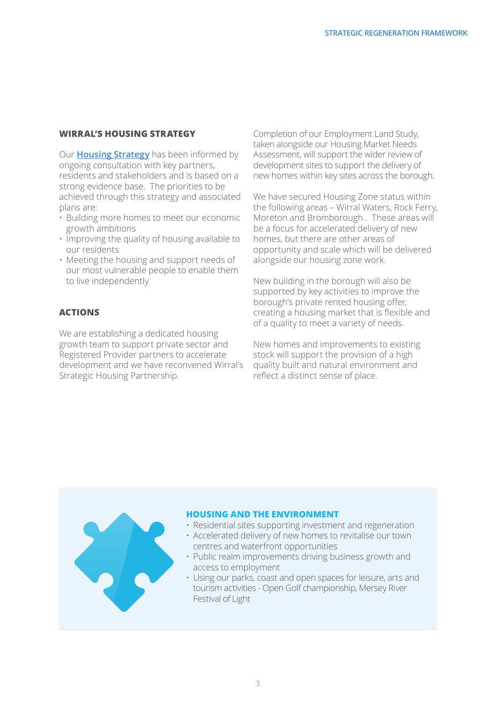#### **Wirral's Housing Strategy**

Our **Housing Strategy** has been informed by ongoing consultation with key partners, residents and stakeholders and is based on a strong evidence base. The priorities to be achieved through this strategy and associated plans are:

- Building more homes to meet our economic growth ambitions
- Improving the quality of housing available to our residents
- Meeting the housing and support needs of our most vulnerable people to enable them to live independently

#### **Actions**

We are establishing a dedicated housing growth team to support private sector and Registered Provider partners to accelerate development and we have reconvened Wirral's Strategic Housing Partnership.

Completion of our Employment Land Study, taken alongside our Housing Market Needs Assessment, will support the wider review of development sites to support the delivery of new homes within key sites across the borough.

We have secured Housing Zone status within the following areas – Wirral Waters, Rock Ferry, Moreton and Bromborough . These areas will be a focus for accelerated delivery of new homes, but there are other areas of opportunity and scale which will be delivered alongside our housing zone work.

New building in the borough will also be supported by key activities to improve the borough's private rented housing offer, creating a housing market that is flexible and of a quality to meet a variety of needs.

New homes and improvements to existing stock will support the provision of a high quality built and natural environment and reflect a distinct sense of place.

#### **Housing and the Environment**

- Residential sites supporting investment and regeneration
- Accelerated delivery of new homes to revitalise our town centres and waterfront opportunities
- Public realm improvements driving business growth and access to employment
- Using our parks, coast and open spaces for leisure, arts and tourism activities - Open Golf championship, Mersey River Festival of Light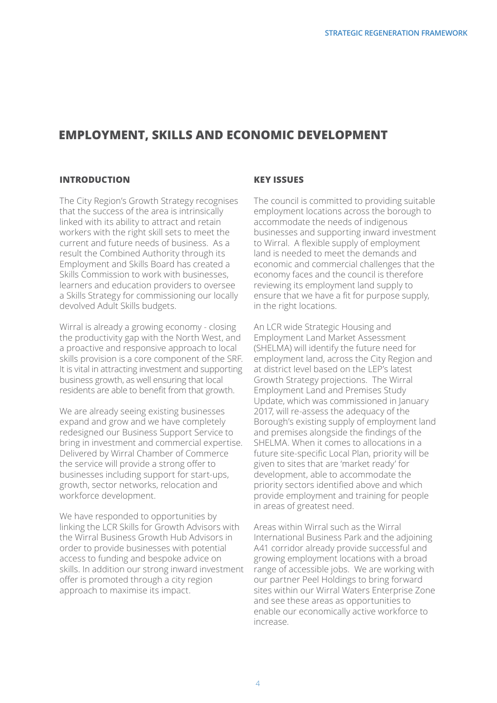# **EMPLOYMENT, SKILLS and economic development**

#### **INTRODUCTION**

The City Region's Growth Strategy recognises that the success of the area is intrinsically linked with its ability to attract and retain workers with the right skill sets to meet the current and future needs of business. As a result the Combined Authority through its Employment and Skills Board has created a Skills Commission to work with businesses, learners and education providers to oversee a Skills Strategy for commissioning our locally devolved Adult Skills budgets.

Wirral is already a growing economy - closing the productivity gap with the North West, and a proactive and responsive approach to local skills provision is a core component of the SRF. It is vital in attracting investment and supporting business growth, as well ensuring that local residents are able to benefit from that growth.

We are already seeing existing businesses expand and grow and we have completely redesigned our Business Support Service to bring in investment and commercial expertise. Delivered by Wirral Chamber of Commerce the service will provide a strong offer to businesses including support for start-ups, growth, sector networks, relocation and workforce development.

We have responded to opportunities by linking the LCR Skills for Growth Advisors with the Wirral Business Growth Hub Advisors in order to provide businesses with potential access to funding and bespoke advice on skills. In addition our strong inward investment offer is promoted through a city region approach to maximise its impact.

#### **Key Issues**

The council is committed to providing suitable employment locations across the borough to accommodate the needs of indigenous businesses and supporting inward investment to Wirral. A flexible supply of employment land is needed to meet the demands and economic and commercial challenges that the economy faces and the council is therefore reviewing its employment land supply to ensure that we have a fit for purpose supply, in the right locations.

An LCR wide Strategic Housing and Employment Land Market Assessment (SHELMA) will identify the future need for employment land, across the City Region and at district level based on the LEP's latest Growth Strategy projections. The Wirral Employment Land and Premises Study Update, which was commissioned in January 2017, will re-assess the adequacy of the Borough's existing supply of employment land and premises alongside the findings of the SHELMA. When it comes to allocations in a future site-specific Local Plan, priority will be given to sites that are 'market ready' for development, able to accommodate the priority sectors identified above and which provide employment and training for people in areas of greatest need.

Areas within Wirral such as the Wirral International Business Park and the adjoining A41 corridor already provide successful and growing employment locations with a broad range of accessible jobs. We are working with our partner Peel Holdings to bring forward sites within our Wirral Waters Enterprise Zone and see these areas as opportunities to enable our economically active workforce to increase.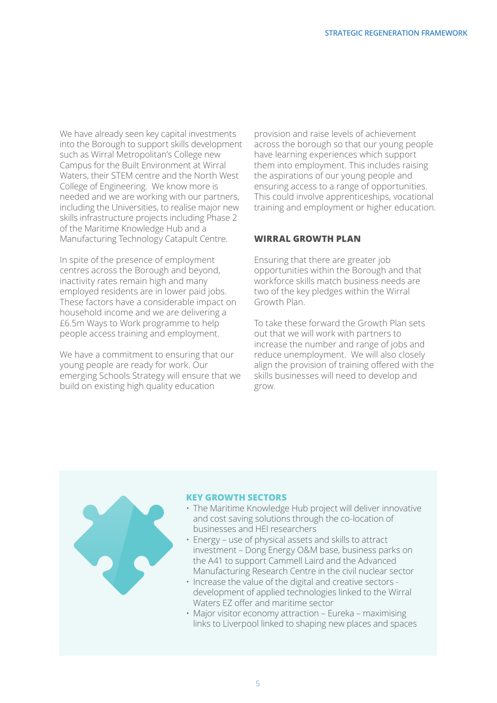We have already seen key capital investments into the Borough to support skills development such as Wirral Metropolitan's College new Campus for the Built Environment at Wirral Waters, their STEM centre and the North West College of Engineering. We know more is needed and we are working with our partners, including the Universities, to realise major new skills infrastructure projects including Phase 2 of the Maritime Knowledge Hub and a Manufacturing Technology Catapult Centre.

In spite of the presence of employment centres across the Borough and beyond, inactivity rates remain high and many employed residents are in lower paid jobs. These factors have a considerable impact on household income and we are delivering a £6.5m Ways to Work programme to help people access training and employment.

We have a commitment to ensuring that our young people are ready for work. Our emerging Schools Strategy will ensure that we build on existing high quality education

provision and raise levels of achievement across the borough so that our young people have learning experiences which support them into employment. This includes raising the aspirations of our young people and ensuring access to a range of opportunities. This could involve apprenticeships, vocational training and employment or higher education.

#### **Wirral Growth Plan**

Ensuring that there are greater job opportunities within the Borough and that workforce skills match business needs are two of the key pledges within the Wirral Growth Plan.

To take these forward the Growth Plan sets out that we will work with partners to increase the number and range of jobs and reduce unemployment. We will also closely align the provision of training offered with the skills businesses will need to develop and grow.



#### **Key Growth Sectors**

- The Maritime Knowledge Hub project will deliver innovative and cost saving solutions through the co-location of businesses and HEI researchers
- Energy use of physical assets and skills to attract investment – Dong Energy O&M base, business parks on the A41 to support Cammell Laird and the Advanced Manufacturing Research Centre in the civil nuclear sector
- Increase the value of the digital and creative sectors development of applied technologies linked to the Wirral Waters EZ offer and maritime sector
- Major visitor economy attraction Eureka maximising links to Liverpool linked to shaping new places and spaces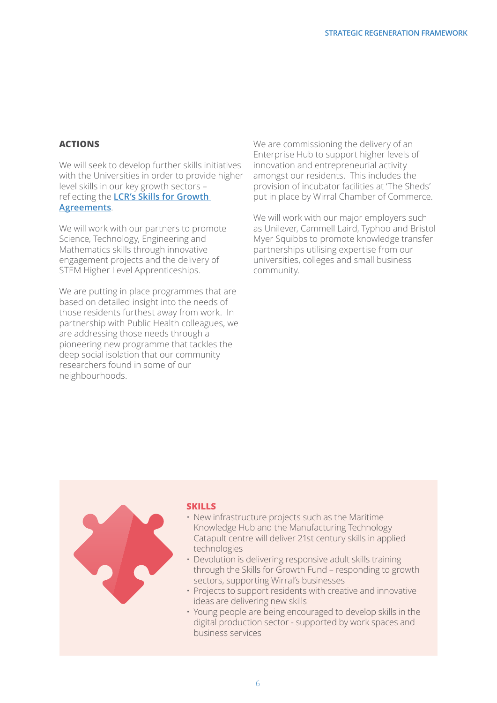#### **Actions**

We will seek to develop further skills initiatives with the Universities in order to provide higher level skills in our key growth sectors – reflecting the **LCR's Skills for Growth Agreements**.

We will work with our partners to promote Science, Technology, Engineering and Mathematics skills through innovative engagement projects and the delivery of STEM Higher Level Apprenticeships.

We are putting in place programmes that are based on detailed insight into the needs of those residents furthest away from work. In partnership with Public Health colleagues, we are addressing those needs through a pioneering new programme that tackles the deep social isolation that our community researchers found in some of our neighbourhoods.

We are commissioning the delivery of an Enterprise Hub to support higher levels of innovation and entrepreneurial activity amongst our residents. This includes the provision of incubator facilities at 'The Sheds' put in place by Wirral Chamber of Commerce.

We will work with our major employers such as Unilever, Cammell Laird, Typhoo and Bristol Myer Squibbs to promote knowledge transfer partnerships utilising expertise from our universities, colleges and small business community.



#### **SKILLS**

- New infrastructure projects such as the Maritime Knowledge Hub and the Manufacturing Technology Catapult centre will deliver 21st century skills in applied technologies
- Devolution is delivering responsive adult skills training through the Skills for Growth Fund – responding to growth sectors, supporting Wirral's businesses
- Projects to support residents with creative and innovative ideas are delivering new skills
- Young people are being encouraged to develop skills in the digital production sector - supported by work spaces and business services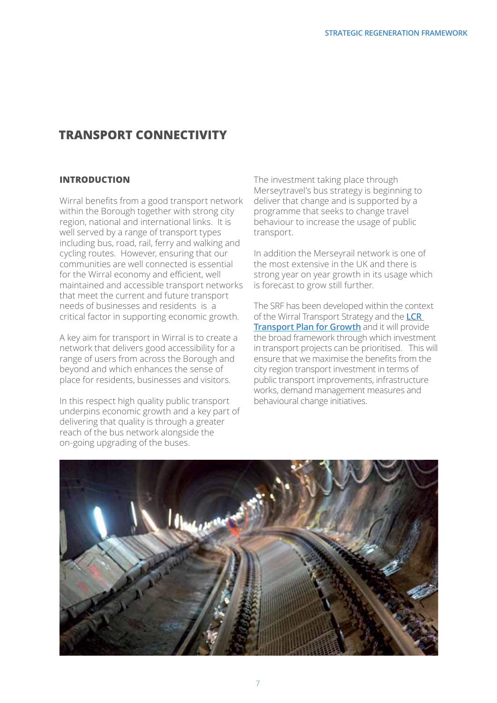# **TRANSPORT CONNECTIVITY**

#### **INTRODUCTION**

Wirral benefits from a good transport network within the Borough together with strong city region, national and international links. It is well served by a range of transport types including bus, road, rail, ferry and walking and cycling routes. However, ensuring that our communities are well connected is essential for the Wirral economy and efficient, well maintained and accessible transport networks that meet the current and future transport needs of businesses and residents is a critical factor in supporting economic growth.

A key aim for transport in Wirral is to create a network that delivers good accessibility for a range of users from across the Borough and beyond and which enhances the sense of place for residents, businesses and visitors.

In this respect high quality public transport underpins economic growth and a key part of delivering that quality is through a greater reach of the bus network alongside the on-going upgrading of the buses.

The investment taking place through Merseytravel's bus strategy is beginning to deliver that change and is supported by a programme that seeks to change travel behaviour to increase the usage of public transport.

In addition the Merseyrail network is one of the most extensive in the UK and there is strong year on year growth in its usage which is forecast to grow still further.

The SRF has been developed within the context of the Wirral Transport Strategy and the **LCR Transport Plan for Growth** and it will provide the broad framework through which investment in transport projects can be prioritised. This will ensure that we maximise the benefits from the city region transport investment in terms of public transport improvements, infrastructure works, demand management measures and behavioural change initiatives.

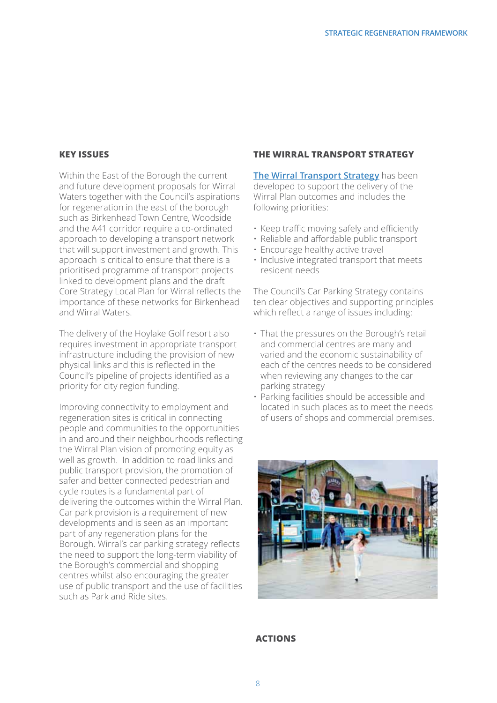#### **Key Issues**

Within the East of the Borough the current and future development proposals for Wirral Waters together with the Council's aspirations for regeneration in the east of the borough such as Birkenhead Town Centre, Woodside and the A41 corridor require a co-ordinated approach to developing a transport network that will support investment and growth. This approach is critical to ensure that there is a prioritised programme of transport projects linked to development plans and the draft Core Strategy Local Plan for Wirral reflects the importance of these networks for Birkenhead and Wirral Waters.

The delivery of the Hoylake Golf resort also requires investment in appropriate transport infrastructure including the provision of new physical links and this is reflected in the Council's pipeline of projects identified as a priority for city region funding.

Improving connectivity to employment and regeneration sites is critical in connecting people and communities to the opportunities in and around their neighbourhoods reflecting the Wirral Plan vision of promoting equity as well as growth. In addition to road links and public transport provision, the promotion of safer and better connected pedestrian and cycle routes is a fundamental part of delivering the outcomes within the Wirral Plan. Car park provision is a requirement of new developments and is seen as an important part of any regeneration plans for the Borough. Wirral's car parking strategy reflects the need to support the long-term viability of the Borough's commercial and shopping centres whilst also encouraging the greater use of public transport and the use of facilities such as Park and Ride sites.

#### **The Wirral Transport Strategy**

**The Wirral Transport Strategy** has been developed to support the delivery of the Wirral Plan outcomes and includes the following priorities:

- Keep traffic moving safely and efficiently
- Reliable and affordable public transport
- Encourage healthy active travel
- Inclusive integrated transport that meets resident needs

The Council's Car Parking Strategy contains ten clear objectives and supporting principles which reflect a range of issues including:

- That the pressures on the Borough's retail and commercial centres are many and varied and the economic sustainability of each of the centres needs to be considered when reviewing any changes to the car parking strategy
- Parking facilities should be accessible and located in such places as to meet the needs of users of shops and commercial premises.



#### **Actions**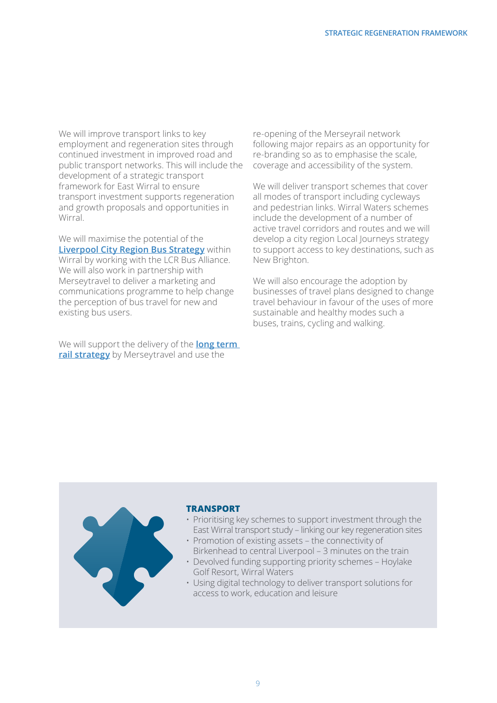We will improve transport links to key employment and regeneration sites through continued investment in improved road and public transport networks. This will include the development of a strategic transport framework for East Wirral to ensure transport investment supports regeneration and growth proposals and opportunities in **Wirral** 

We will maximise the potential of the **Liverpool City Region Bus Strategy** within Wirral by working with the LCR Bus Alliance. We will also work in partnership with Merseytravel to deliver a marketing and communications programme to help change the perception of bus travel for new and existing bus users.

We will support the delivery of the **long term rail strategy** by Merseytravel and use the

re-opening of the Merseyrail network following major repairs as an opportunity for re-branding so as to emphasise the scale, coverage and accessibility of the system.

We will deliver transport schemes that cover all modes of transport including cycleways and pedestrian links. Wirral Waters schemes include the development of a number of active travel corridors and routes and we will develop a city region Local Journeys strategy to support access to key destinations, such as New Brighton.

We will also encourage the adoption by businesses of travel plans designed to change travel behaviour in favour of the uses of more sustainable and healthy modes such a buses, trains, cycling and walking.

#### **TRansport**

- Prioritising key schemes to support investment through the East Wirral transport study – linking our key regeneration sites
- Promotion of existing assets the connectivity of Birkenhead to central Liverpool – 3 minutes on the train
- Devolved funding supporting priority schemes Hoylake Golf Resort, Wirral Waters
- Using digital technology to deliver transport solutions for access to work, education and leisure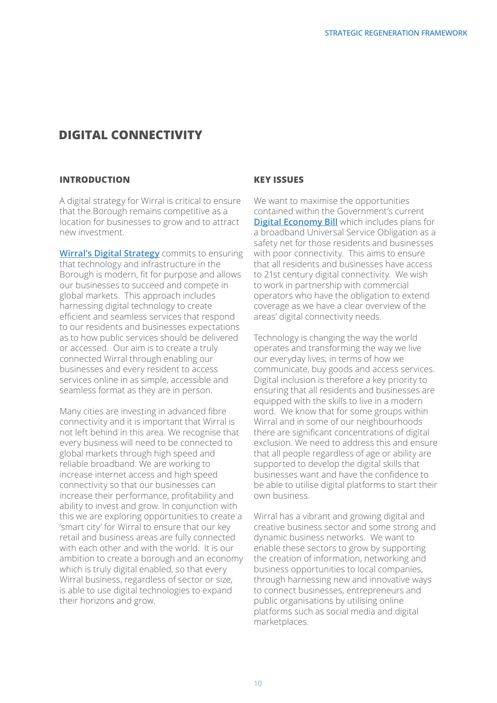# **DIGITAL CONNECTIVITY**

#### **INTRODUCTION**

A digital strategy for Wirral is critical to ensure that the Borough remains competitive as a location for businesses to grow and to attract new investment.

**Wirral's Digital Strategy** commits to ensuring that technology and infrastructure in the Borough is modern, fit for purpose and allows our businesses to succeed and compete in global markets. This approach includes harnessing digital technology to create efficient and seamless services that respond to our residents and businesses expectations as to how public services should be delivered or accessed. Our aim is to create a truly connected Wirral through enabling our businesses and every resident to access services online in as simple, accessible and seamless format as they are in person.

Many cities are investing in advanced fibre connectivity and it is important that Wirral is not left behind in this area. We recognise that every business will need to be connected to global markets through high speed and reliable broadband. We are working to increase internet access and high speed connectivity so that our businesses can increase their performance, profitability and ability to invest and grow. In conjunction with this we are exploring opportunities to create a 'smart city' for Wirral to ensure that our key retail and business areas are fully connected with each other and with the world. It is our ambition to create a borough and an economy which is truly digital enabled, so that every Wirral business, regardless of sector or size, is able to use digital technologies to expand their horizons and grow.

#### **Key Issues**

We want to maximise the opportunities contained within the Government's current **Digital Economy Bill** which includes plans for a broadband Universal Service Obligation as a safety net for those residents and businesses with poor connectivity. This aims to ensure that all residents and businesses have access to 21st century digital connectivity. We wish to work in partnership with commercial operators who have the obligation to extend coverage as we have a clear overview of the areas' digital connectivity needs.

Technology is changing the way the world operates and transforming the way we live our everyday lives; in terms of how we communicate, buy goods and access services. Digital inclusion is therefore a key priority to ensuring that all residents and businesses are equipped with the skills to live in a modern word. We know that for some groups within Wirral and in some of our neighbourhoods there are significant concentrations of digital exclusion. We need to address this and ensure that all people regardless of age or ability are supported to develop the digital skills that businesses want and have the confidence to be able to utilise digital platforms to start their own business.

Wirral has a vibrant and growing digital and creative business sector and some strong and dynamic business networks. We want to enable these sectors to grow by supporting the creation of information, networking and business opportunities to local companies, through harnessing new and innovative ways to connect businesses, entrepreneurs and public organisations by utilising online platforms such as social media and digital marketplaces.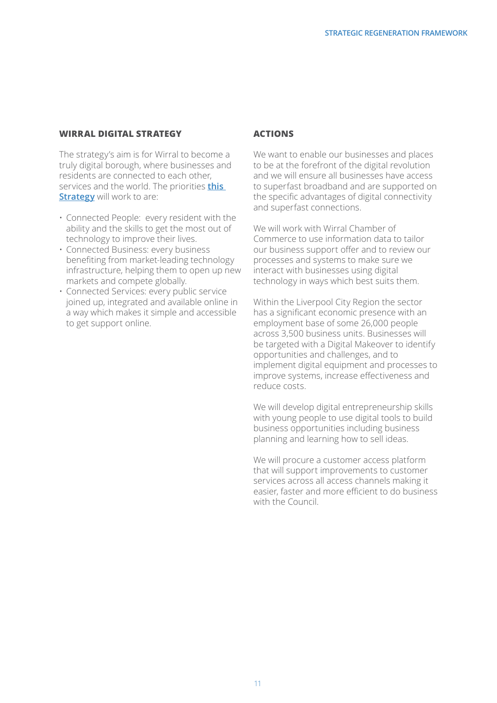#### **Wirral Digital Strategy**

The strategy's aim is for Wirral to become a truly digital borough, where businesses and residents are connected to each other, services and the world. The priorities **this Strategy** will work to are:

- Connected People: every resident with the ability and the skills to get the most out of technology to improve their lives.
- Connected Business: every business benefiting from market-leading technology infrastructure, helping them to open up new markets and compete globally.
- Connected Services: every public service joined up, integrated and available online in a way which makes it simple and accessible to get support online.

#### **Actions**

We want to enable our businesses and places to be at the forefront of the digital revolution and we will ensure all businesses have access to superfast broadband and are supported on the specific advantages of digital connectivity and superfast connections.

We will work with Wirral Chamber of Commerce to use information data to tailor our business support offer and to review our processes and systems to make sure we interact with businesses using digital technology in ways which best suits them.

Within the Liverpool City Region the sector has a significant economic presence with an employment base of some 26,000 people across 3,500 business units. Businesses will be targeted with a Digital Makeover to identify opportunities and challenges, and to implement digital equipment and processes to improve systems, increase effectiveness and reduce costs.

We will develop digital entrepreneurship skills with young people to use digital tools to build business opportunities including business planning and learning how to sell ideas.

We will procure a customer access platform that will support improvements to customer services across all access channels making it easier, faster and more efficient to do business with the Council.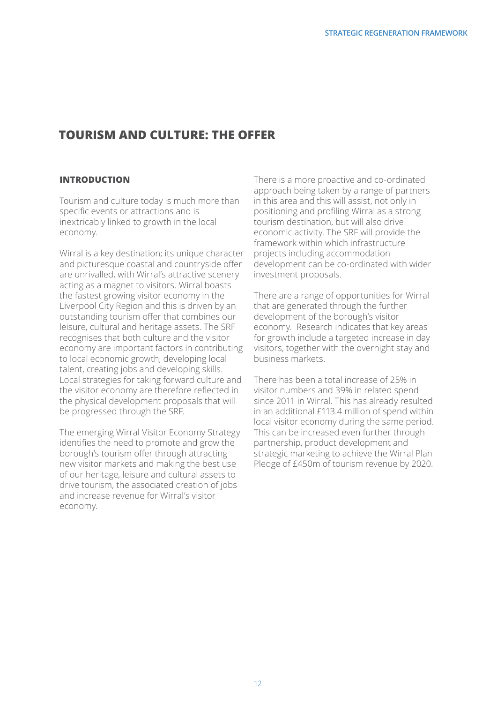# **TOURISM AND CULTURE: The OFFER**

#### **INTRODUCTION**

Tourism and culture today is much more than specific events or attractions and is inextricably linked to growth in the local economy.

Wirral is a key destination; its unique character and picturesque coastal and countryside offer are unrivalled, with Wirral's attractive scenery acting as a magnet to visitors. Wirral boasts the fastest growing visitor economy in the Liverpool City Region and this is driven by an outstanding tourism offer that combines our leisure, cultural and heritage assets. The SRF recognises that both culture and the visitor economy are important factors in contributing to local economic growth, developing local talent, creating jobs and developing skills. Local strategies for taking forward culture and the visitor economy are therefore reflected in the physical development proposals that will be progressed through the SRF.

The emerging Wirral Visitor Economy Strategy identifies the need to promote and grow the borough's tourism offer through attracting new visitor markets and making the best use of our heritage, leisure and cultural assets to drive tourism, the associated creation of jobs and increase revenue for Wirral's visitor economy.

There is a more proactive and co-ordinated approach being taken by a range of partners in this area and this will assist, not only in positioning and profiling Wirral as a strong tourism destination, but will also drive economic activity. The SRF will provide the framework within which infrastructure projects including accommodation development can be co-ordinated with wider investment proposals.

There are a range of opportunities for Wirral that are generated through the further development of the borough's visitor economy. Research indicates that key areas for growth include a targeted increase in day visitors, together with the overnight stay and business markets.

There has been a total increase of 25% in visitor numbers and 39% in related spend since 2011 in Wirral. This has already resulted in an additional £113.4 million of spend within local visitor economy during the same period. This can be increased even further through partnership, product development and strategic marketing to achieve the Wirral Plan Pledge of £450m of tourism revenue by 2020.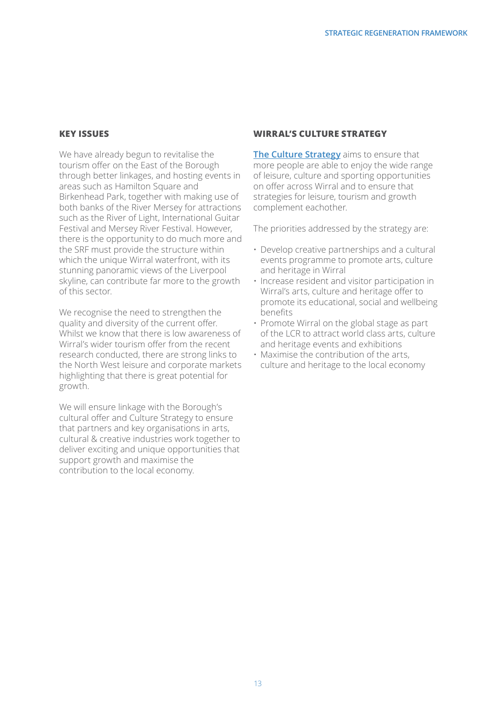#### **Key Issues**

We have already begun to revitalise the tourism offer on the East of the Borough through better linkages, and hosting events in areas such as Hamilton Square and Birkenhead Park, together with making use of both banks of the River Mersey for attractions such as the River of Light, International Guitar Festival and Mersey River Festival. However, there is the opportunity to do much more and the SRF must provide the structure within which the unique Wirral waterfront, with its stunning panoramic views of the Liverpool skyline, can contribute far more to the growth of this sector.

We recognise the need to strengthen the quality and diversity of the current offer. Whilst we know that there is low awareness of Wirral's wider tourism offer from the recent research conducted, there are strong links to the North West leisure and corporate markets highlighting that there is great potential for growth.

We will ensure linkage with the Borough's cultural offer and Culture Strategy to ensure that partners and key organisations in arts, cultural & creative industries work together to deliver exciting and unique opportunities that support growth and maximise the contribution to the local economy.

#### **Wirral's Culture Strategy**

**The Culture Strategy** aims to ensure that more people are able to enjoy the wide range of leisure, culture and sporting opportunities on offer across Wirral and to ensure that strategies for leisure, tourism and growth complement eachother.

The priorities addressed by the strategy are:

- Develop creative partnerships and a cultural events programme to promote arts, culture and heritage in Wirral
- Increase resident and visitor participation in Wirral's arts, culture and heritage offer to promote its educational, social and wellbeing benefits
- Promote Wirral on the global stage as part of the LCR to attract world class arts, culture and heritage events and exhibitions
- Maximise the contribution of the arts, culture and heritage to the local economy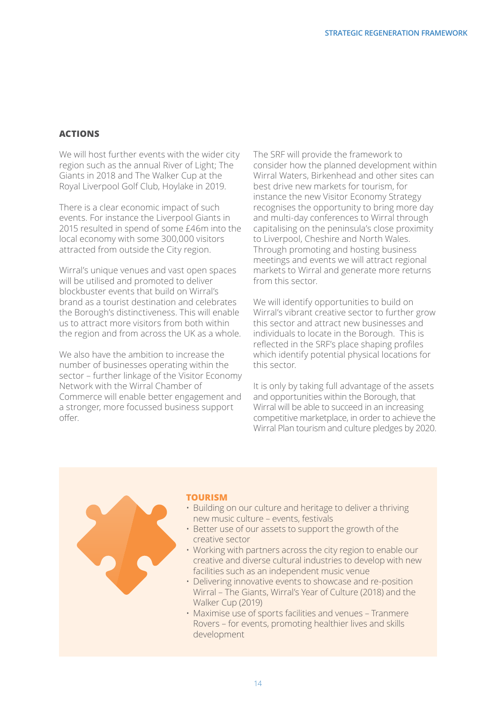#### **Actions**

We will host further events with the wider city region such as the annual River of Light; The Giants in 2018 and The Walker Cup at the Royal Liverpool Golf Club, Hoylake in 2019.

There is a clear economic impact of such events. For instance the Liverpool Giants in 2015 resulted in spend of some £46m into the local economy with some 300,000 visitors attracted from outside the City region.

Wirral's unique venues and vast open spaces will be utilised and promoted to deliver blockbuster events that build on Wirral's brand as a tourist destination and celebrates the Borough's distinctiveness. This will enable us to attract more visitors from both within the region and from across the UK as a whole.

We also have the ambition to increase the number of businesses operating within the sector – further linkage of the Visitor Economy Network with the Wirral Chamber of Commerce will enable better engagement and a stronger, more focussed business support offer.

The SRF will provide the framework to consider how the planned development within Wirral Waters, Birkenhead and other sites can best drive new markets for tourism, for instance the new Visitor Economy Strategy recognises the opportunity to bring more day and multi-day conferences to Wirral through capitalising on the peninsula's close proximity to Liverpool, Cheshire and North Wales. Through promoting and hosting business meetings and events we will attract regional markets to Wirral and generate more returns from this sector.

We will identify opportunities to build on Wirral's vibrant creative sector to further grow this sector and attract new businesses and individuals to locate in the Borough. This is reflected in the SRF's place shaping profiles which identify potential physical locations for this sector.

It is only by taking full advantage of the assets and opportunities within the Borough, that Wirral will be able to succeed in an increasing competitive marketplace, in order to achieve the Wirral Plan tourism and culture pledges by 2020.

#### **Tourism**

- Building on our culture and heritage to deliver a thriving new music culture – events, festivals
- Better use of our assets to support the growth of the creative sector
- Working with partners across the city region to enable our creative and diverse cultural industries to develop with new facilities such as an independent music venue
- Delivering innovative events to showcase and re-position Wirral – The Giants, Wirral's Year of Culture (2018) and the Walker Cup (2019)
- Maximise use of sports facilities and venues Tranmere Rovers – for events, promoting healthier lives and skills development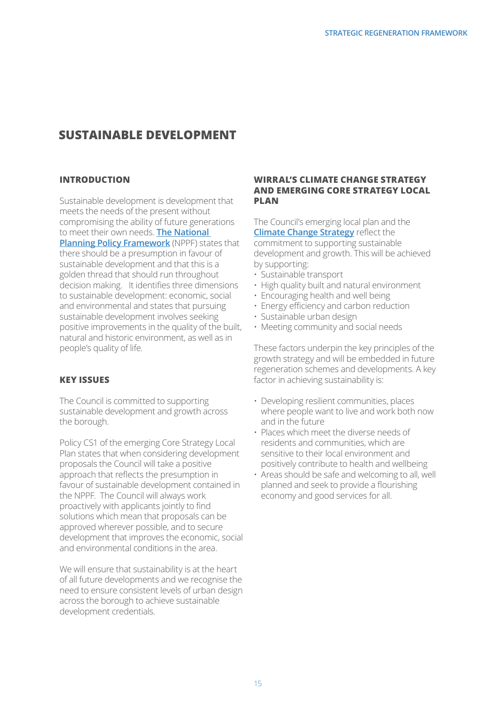# **SUSTAINABLE DEVELOPMENT**

#### **INTRODUCTION**

Sustainable development is development that meets the needs of the present without compromising the ability of future generations to meet their own needs. **The National Planning Policy Framework** (NPPF) states that there should be a presumption in favour of sustainable development and that this is a golden thread that should run throughout decision making. It identifies three dimensions to sustainable development: economic, social and environmental and states that pursuing sustainable development involves seeking positive improvements in the quality of the built, natural and historic environment, as well as in people's quality of life.

## **Key Issues**

The Council is committed to supporting sustainable development and growth across the borough.

Policy CS1 of the emerging Core Strategy Local Plan states that when considering development proposals the Council will take a positive approach that reflects the presumption in favour of sustainable development contained in the NPPF. The Council will always work proactively with applicants jointly to find solutions which mean that proposals can be approved wherever possible, and to secure development that improves the economic, social and environmental conditions in the area.

We will ensure that sustainability is at the heart of all future developments and we recognise the need to ensure consistent levels of urban design across the borough to achieve sustainable development credentials.

#### **Wirral's Climate Change Strategy and emerging Core Strategy Local Plan**

The Council's emerging local plan and the **Climate Change Strategy** reflect the commitment to supporting sustainable development and growth. This will be achieved by supporting:

- Sustainable transport
- High quality built and natural environment
- Encouraging health and well being
- Energy efficiency and carbon reduction
- Sustainable urban design
- Meeting community and social needs

These factors underpin the key principles of the growth strategy and will be embedded in future regeneration schemes and developments. A key factor in achieving sustainability is:

- Developing resilient communities, places where people want to live and work both now and in the future
- Places which meet the diverse needs of residents and communities, which are sensitive to their local environment and positively contribute to health and wellbeing
- Areas should be safe and welcoming to all, well planned and seek to provide a flourishing economy and good services for all.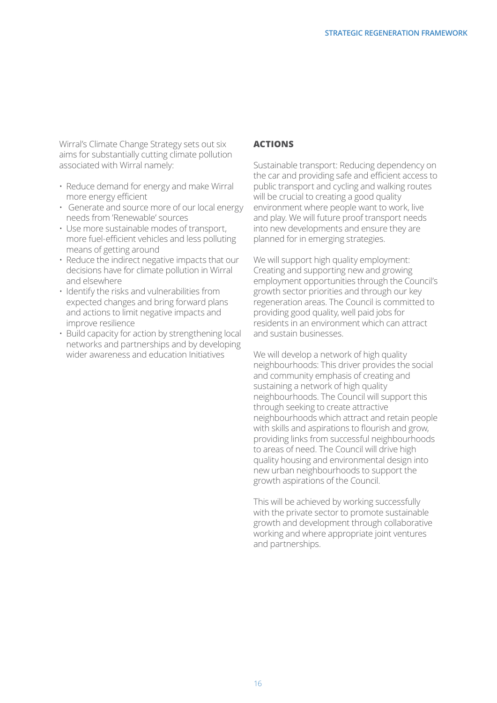Wirral's Climate Change Strategy sets out six aims for substantially cutting climate pollution associated with Wirral namely:

- Reduce demand for energy and make Wirral more energy efficient
- Generate and source more of our local energy needs from 'Renewable' sources
- Use more sustainable modes of transport, more fuel-efficient vehicles and less polluting means of getting around
- Reduce the indirect negative impacts that our decisions have for climate pollution in Wirral and elsewhere
- Identify the risks and vulnerabilities from expected changes and bring forward plans and actions to limit negative impacts and improve resilience
- Build capacity for action by strengthening local networks and partnerships and by developing wider awareness and education Initiatives

#### **Actions**

Sustainable transport: Reducing dependency on the car and providing safe and efficient access to public transport and cycling and walking routes will be crucial to creating a good quality environment where people want to work, live and play. We will future proof transport needs into new developments and ensure they are planned for in emerging strategies.

We will support high quality employment: Creating and supporting new and growing employment opportunities through the Council's growth sector priorities and through our key regeneration areas. The Council is committed to providing good quality, well paid jobs for residents in an environment which can attract and sustain businesses.

We will develop a network of high quality neighbourhoods: This driver provides the social and community emphasis of creating and sustaining a network of high quality neighbourhoods. The Council will support this through seeking to create attractive neighbourhoods which attract and retain people with skills and aspirations to flourish and grow, providing links from successful neighbourhoods to areas of need. The Council will drive high quality housing and environmental design into new urban neighbourhoods to support the growth aspirations of the Council.

This will be achieved by working successfully with the private sector to promote sustainable growth and development through collaborative working and where appropriate joint ventures and partnerships.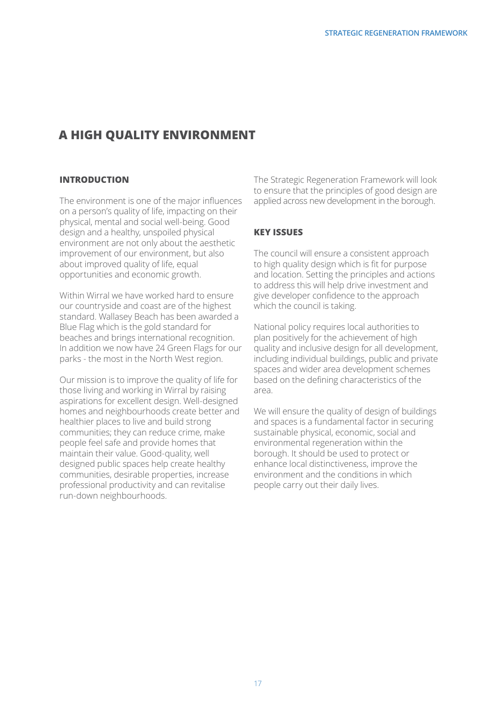# **A HIGH QUALITY ENVIRONMENT**

#### **INTRODUCTION**

The environment is one of the major influences on a person's quality of life, impacting on their physical, mental and social well-being. Good design and a healthy, unspoiled physical environment are not only about the aesthetic improvement of our environment, but also about improved quality of life, equal opportunities and economic growth.

Within Wirral we have worked hard to ensure our countryside and coast are of the highest standard. Wallasey Beach has been awarded a Blue Flag which is the gold standard for beaches and brings international recognition. In addition we now have 24 Green Flags for our parks - the most in the North West region.

Our mission is to improve the quality of life for those living and working in Wirral by raising aspirations for excellent design. Well-designed homes and neighbourhoods create better and healthier places to live and build strong communities; they can reduce crime, make people feel safe and provide homes that maintain their value. Good-quality, well designed public spaces help create healthy communities, desirable properties, increase professional productivity and can revitalise run-down neighbourhoods.

The Strategic Regeneration Framework will look to ensure that the principles of good design are applied across new development in the borough.

## **KEY ISSUES**

The council will ensure a consistent approach to high quality design which is fit for purpose and location. Setting the principles and actions to address this will help drive investment and give developer confidence to the approach which the council is taking.

National policy requires local authorities to plan positively for the achievement of high quality and inclusive design for all development, including individual buildings, public and private spaces and wider area development schemes based on the defining characteristics of the area.

We will ensure the quality of design of buildings and spaces is a fundamental factor in securing sustainable physical, economic, social and environmental regeneration within the borough. It should be used to protect or enhance local distinctiveness, improve the environment and the conditions in which people carry out their daily lives.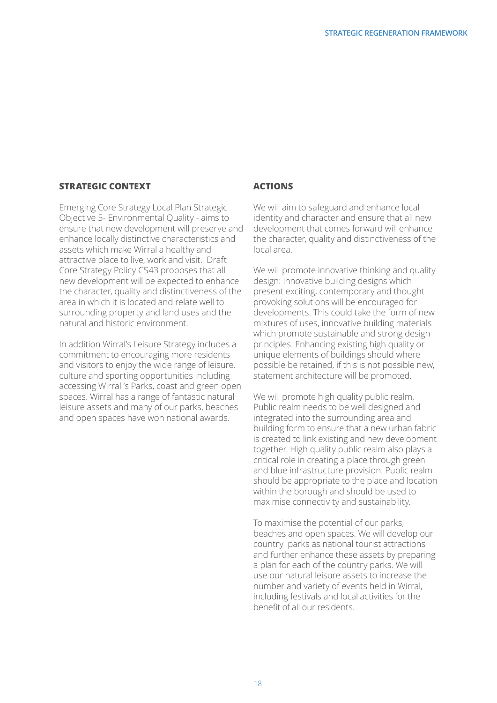#### **STRATEGIC CONTEXT**

Emerging Core Strategy Local Plan Strategic Objective 5- Environmental Quality - aims to ensure that new development will preserve and enhance locally distinctive characteristics and assets which make Wirral a healthy and attractive place to live, work and visit. Draft Core Strategy Policy CS43 proposes that all new development will be expected to enhance the character, quality and distinctiveness of the area in which it is located and relate well to surrounding property and land uses and the natural and historic environment.

In addition Wirral's Leisure Strategy includes a commitment to encouraging more residents and visitors to enjoy the wide range of leisure, culture and sporting opportunities including accessing Wirral 's Parks, coast and green open spaces. Wirral has a range of fantastic natural leisure assets and many of our parks, beaches and open spaces have won national awards.

#### **ACTIONS**

We will aim to safeguard and enhance local identity and character and ensure that all new development that comes forward will enhance the character, quality and distinctiveness of the local area.

We will promote innovative thinking and quality design: Innovative building designs which present exciting, contemporary and thought provoking solutions will be encouraged for developments. This could take the form of new mixtures of uses, innovative building materials which promote sustainable and strong design principles. Enhancing existing high quality or unique elements of buildings should where possible be retained, if this is not possible new, statement architecture will be promoted.

We will promote high quality public realm, Public realm needs to be well designed and integrated into the surrounding area and building form to ensure that a new urban fabric is created to link existing and new development together. High quality public realm also plays a critical role in creating a place through green and blue infrastructure provision. Public realm should be appropriate to the place and location within the borough and should be used to maximise connectivity and sustainability.

To maximise the potential of our parks, beaches and open spaces. We will develop our country parks as national tourist attractions and further enhance these assets by preparing a plan for each of the country parks. We will use our natural leisure assets to increase the number and variety of events held in Wirral, including festivals and local activities for the benefit of all our residents.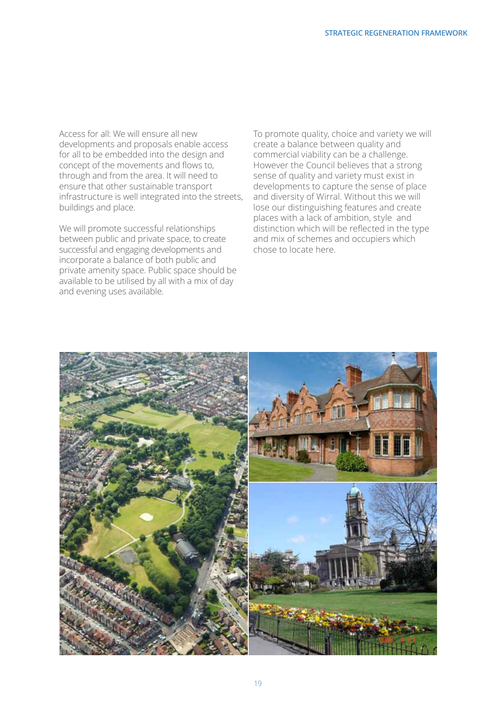Access for all: We will ensure all new developments and proposals enable access for all to be embedded into the design and concept of the movements and flows to, through and from the area. It will need to ensure that other sustainable transport infrastructure is well integrated into the streets, buildings and place.

We will promote successful relationships between public and private space, to create successful and engaging developments and incorporate a balance of both public and private amenity space. Public space should be available to be utilised by all with a mix of day and evening uses available.

To promote quality, choice and variety we will create a balance between quality and commercial viability can be a challenge. However the Council believes that a strong sense of quality and variety must exist in developments to capture the sense of place and diversity of Wirral. Without this we will lose our distinguishing features and create places with a lack of ambition, style and distinction which will be reflected in the type and mix of schemes and occupiers which chose to locate here.

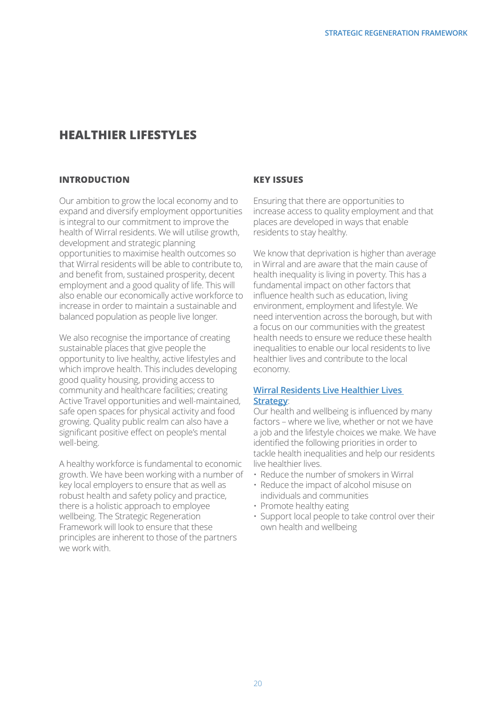# **Healthier lifestyles**

#### **INTRODUCTION**

Our ambition to grow the local economy and to expand and diversify employment opportunities is integral to our commitment to improve the health of Wirral residents. We will utilise growth, development and strategic planning opportunities to maximise health outcomes so that Wirral residents will be able to contribute to, and benefit from, sustained prosperity, decent employment and a good quality of life. This will also enable our economically active workforce to increase in order to maintain a sustainable and balanced population as people live longer.

We also recognise the importance of creating sustainable places that give people the opportunity to live healthy, active lifestyles and which improve health. This includes developing good quality housing, providing access to community and healthcare facilities; creating Active Travel opportunities and well-maintained, safe open spaces for physical activity and food growing. Quality public realm can also have a significant positive effect on people's mental well-being.

A healthy workforce is fundamental to economic growth. We have been working with a number of key local employers to ensure that as well as robust health and safety policy and practice, there is a holistic approach to employee wellbeing. The Strategic Regeneration Framework will look to ensure that these principles are inherent to those of the partners we work with.

#### **Key Issues**

Ensuring that there are opportunities to increase access to quality employment and that places are developed in ways that enable residents to stay healthy.

We know that deprivation is higher than average in Wirral and are aware that the main cause of health inequality is living in poverty. This has a fundamental impact on other factors that influence health such as education, living environment, employment and lifestyle. We need intervention across the borough, but with a focus on our communities with the greatest health needs to ensure we reduce these health inequalities to enable our local residents to live healthier lives and contribute to the local economy.

#### **Wirral Residents Live Healthier Lives Strategy**:

Our health and wellbeing is influenced by many factors – where we live, whether or not we have a job and the lifestyle choices we make. We have identified the following priorities in order to tackle health inequalities and help our residents live healthier lives.

- Reduce the number of smokers in Wirral
- Reduce the impact of alcohol misuse on individuals and communities
- Promote healthy eating
- Support local people to take control over their own health and wellbeing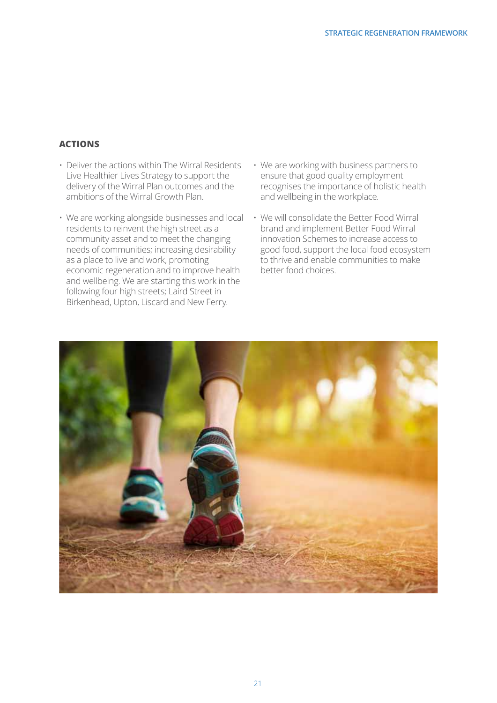#### **Actions**

- Deliver the actions within The Wirral Residents Live Healthier Lives Strategy to support the delivery of the Wirral Plan outcomes and the ambitions of the Wirral Growth Plan.
- We are working alongside businesses and local residents to reinvent the high street as a community asset and to meet the changing needs of communities; increasing desirability as a place to live and work, promoting economic regeneration and to improve health and wellbeing. We are starting this work in the following four high streets; Laird Street in Birkenhead, Upton, Liscard and New Ferry.
- We are working with business partners to ensure that good quality employment recognises the importance of holistic health and wellbeing in the workplace.
- We will consolidate the Better Food Wirral brand and implement Better Food Wirral innovation Schemes to increase access to good food, support the local food ecosystem to thrive and enable communities to make better food choices.

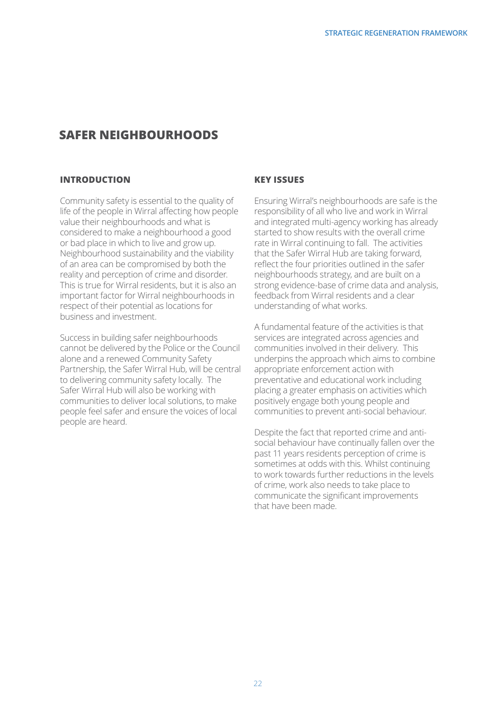# **Safer neighbourhoods**

#### **INTRODUCTION**

Community safety is essential to the quality of life of the people in Wirral affecting how people value their neighbourhoods and what is considered to make a neighbourhood a good or bad place in which to live and grow up. Neighbourhood sustainability and the viability of an area can be compromised by both the reality and perception of crime and disorder. This is true for Wirral residents, but it is also an important factor for Wirral neighbourhoods in respect of their potential as locations for business and investment.

Success in building safer neighbourhoods cannot be delivered by the Police or the Council alone and a renewed Community Safety Partnership, the Safer Wirral Hub, will be central to delivering community safety locally. The Safer Wirral Hub will also be working with communities to deliver local solutions, to make people feel safer and ensure the voices of local people are heard.

#### **Key Issues**

Ensuring Wirral's neighbourhoods are safe is the responsibility of all who live and work in Wirral and integrated multi-agency working has already started to show results with the overall crime rate in Wirral continuing to fall. The activities that the Safer Wirral Hub are taking forward, reflect the four priorities outlined in the safer neighbourhoods strategy, and are built on a strong evidence-base of crime data and analysis, feedback from Wirral residents and a clear understanding of what works.

A fundamental feature of the activities is that services are integrated across agencies and communities involved in their delivery. This underpins the approach which aims to combine appropriate enforcement action with preventative and educational work including placing a greater emphasis on activities which positively engage both young people and communities to prevent anti-social behaviour.

Despite the fact that reported crime and antisocial behaviour have continually fallen over the past 11 years residents perception of crime is sometimes at odds with this. Whilst continuing to work towards further reductions in the levels of crime, work also needs to take place to communicate the significant improvements that have been made.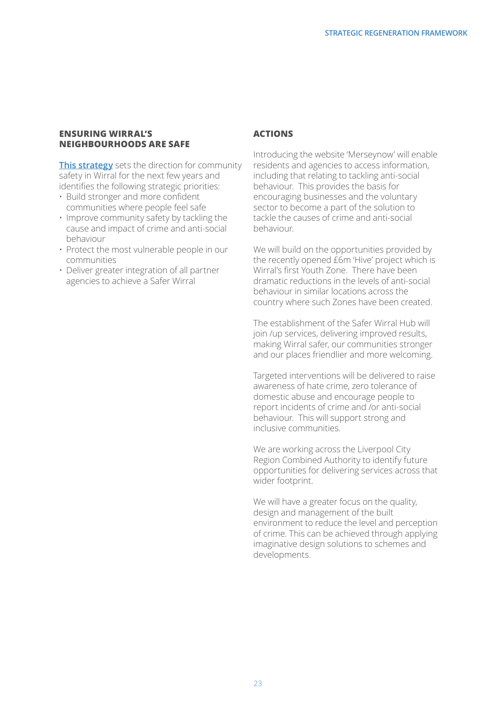#### **Ensuring Wirral's Neighbourhoods are Safe**

**This strategy** sets the direction for community safety in Wirral for the next few years and identifies the following strategic priorities:

- Build stronger and more confident communities where people feel safe
- Improve community safety by tackling the cause and impact of crime and anti-social behaviour
- Protect the most vulnerable people in our communities
- Deliver greater integration of all partner agencies to achieve a Safer Wirral

#### **Actions**

Introducing the website 'Merseynow' will enable residents and agencies to access information, including that relating to tackling anti-social behaviour. This provides the basis for encouraging businesses and the voluntary sector to become a part of the solution to tackle the causes of crime and anti-social behaviour.

We will build on the opportunities provided by the recently opened £6m 'Hive' project which is Wirral's first Youth Zone. There have been dramatic reductions in the levels of anti-social behaviour in similar locations across the country where such Zones have been created.

The establishment of the Safer Wirral Hub will join /up services, delivering improved results, making Wirral safer, our communities stronger and our places friendlier and more welcoming.

Targeted interventions will be delivered to raise awareness of hate crime, zero tolerance of domestic abuse and encourage people to report incidents of crime and /or anti-social behaviour. This will support strong and inclusive communities.

We are working across the Liverpool City Region Combined Authority to identify future opportunities for delivering services across that wider footprint.

We will have a greater focus on the quality, design and management of the built environment to reduce the level and perception of crime. This can be achieved through applying imaginative design solutions to schemes and developments.